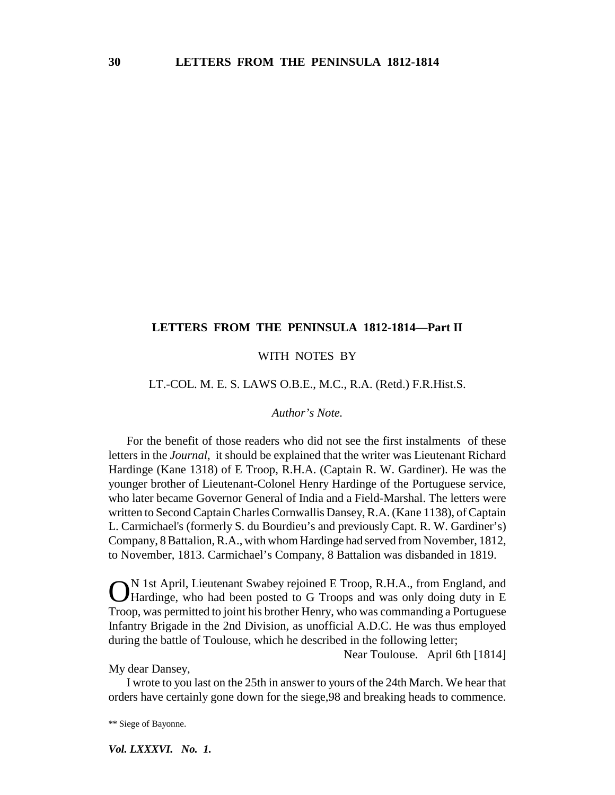# **LETTERS FROM THE PENINSULA 1812-1814—Part II**

## WITH NOTES BY

#### LT.-COL. M. E. S. LAWS O.B.E., M.C., R.A. (Retd.) F.R.Hist.S.

### *Author's Note.*

For the benefit of those readers who did not see the first instalments of these letters in the *Journal*, it should be explained that the writer was Lieutenant Richard Hardinge (Kane 1318) of E Troop, R.H.A. (Captain R. W. Gardiner). He was the younger brother of Lieutenant-Colonel Henry Hardinge of the Portuguese service, who later became Governor General of India and a Field-Marshal. The letters were written to Second Captain Charles Cornwallis Dansey, R.A. (Kane 1138), of Captain L. Carmichael's (formerly S. du Bourdieu's and previously Capt. R. W. Gardiner's) Company, 8 Battalion, R.A., with whom Hardinge had served from November, 1812, to November, 1813. Carmichael's Company, 8 Battalion was disbanded in 1819.

ON 1st April, Lieutenant Swabey rejoined E Troop, R.H.A., from England, and Hardinge, who had been posted to G Troops and was only doing duty in E Troop, was permitted to joint his brother Henry, who was commanding a Portuguese Infantry Brigade in the 2nd Division, as unofficial A.D.C. He was thus employed during the battle of Toulouse, which he described in the following letter;

Near Toulouse. April 6th [1814]

My dear Dansey,

I wrote to you last on the 25th in answer to yours of the 24th March. We hear that orders have certainly gone down for the siege,98 and breaking heads to commence.

\*\* Siege of Bayonne.

*Vol. LXXXVI. No. 1.*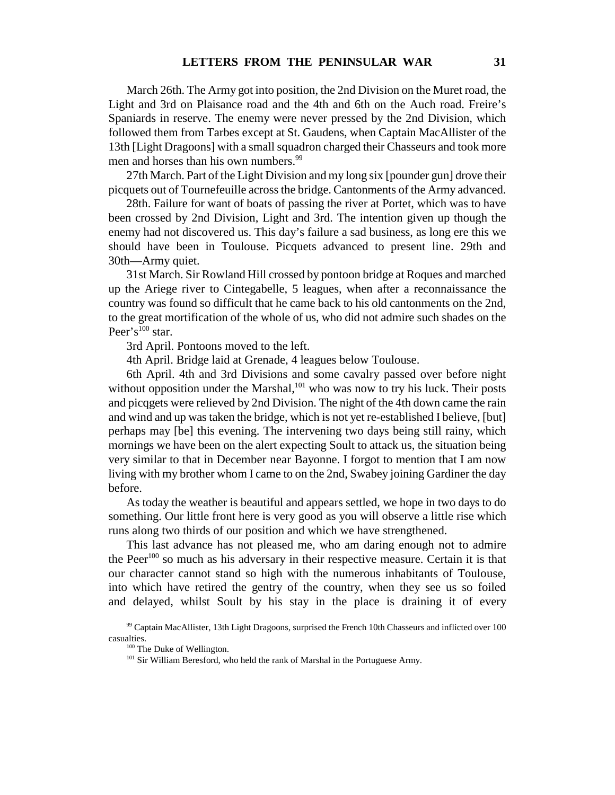March 26th. The Army got into position, the 2nd Division on the Muret road, the Light and 3rd on Plaisance road and the 4th and 6th on the Auch road. Freire's Spaniards in reserve. The enemy were never pressed by the 2nd Division, which followed them from Tarbes except at St. Gaudens, when Captain MacAllister of the 13th [Light Dragoons] with a small squadron charged their Chasseurs and took more men and horses than his own numbers.<sup>99</sup>

27th March. Part of the Light Division and my long six [pounder gun] drove their picquets out of Tournefeuille across the bridge. Cantonments of the Army advanced.

28th. Failure for want of boats of passing the river at Portet, which was to have been crossed by 2nd Division, Light and 3rd. The intention given up though the enemy had not discovered us. This day's failure a sad business, as long ere this we should have been in Toulouse. Picquets advanced to present line. 29th and 30th—Army quiet.

31st March. Sir Rowland Hill crossed by pontoon bridge at Roques and marched up the Ariege river to Cintegabelle, 5 leagues, when after a reconnaissance the country was found so difficult that he came back to his old cantonments on the 2nd, to the great mortification of the whole of us, who did not admire such shades on the Peer's $^{100}$  star.

3rd April. Pontoons moved to the left.

4th April. Bridge laid at Grenade, 4 leagues below Toulouse.

6th April. 4th and 3rd Divisions and some cavalry passed over before night without opposition under the Marshal, $^{101}$  who was now to try his luck. Their posts and picqgets were relieved by 2nd Division. The night of the 4th down came the rain and wind and up was taken the bridge, which is not yet re-established I believe, [but] perhaps may [be] this evening. The intervening two days being still rainy, which mornings we have been on the alert expecting Soult to attack us, the situation being very similar to that in December near Bayonne. I forgot to mention that I am now living with my brother whom I came to on the 2nd, Swabey joining Gardiner the day before.

As today the weather is beautiful and appears settled, we hope in two days to do something. Our little front here is very good as you will observe a little rise which runs along two thirds of our position and which we have strengthened.

This last advance has not pleased me, who am daring enough not to admire the Peer<sup>100</sup> so much as his adversary in their respective measure. Certain it is that our character cannot stand so high with the numerous inhabitants of Toulouse, into which have retired the gentry of the country, when they see us so foiled and delayed, whilst Soult by his stay in the place is draining it of every

<sup>99</sup> Captain MacAllister, 13th Light Dragoons, surprised the French 10th Chasseurs and inflicted over 100 casualties.

<sup>&</sup>lt;sup>100</sup> The Duke of Wellington.

<sup>&</sup>lt;sup>101</sup> Sir William Beresford, who held the rank of Marshal in the Portuguese Army.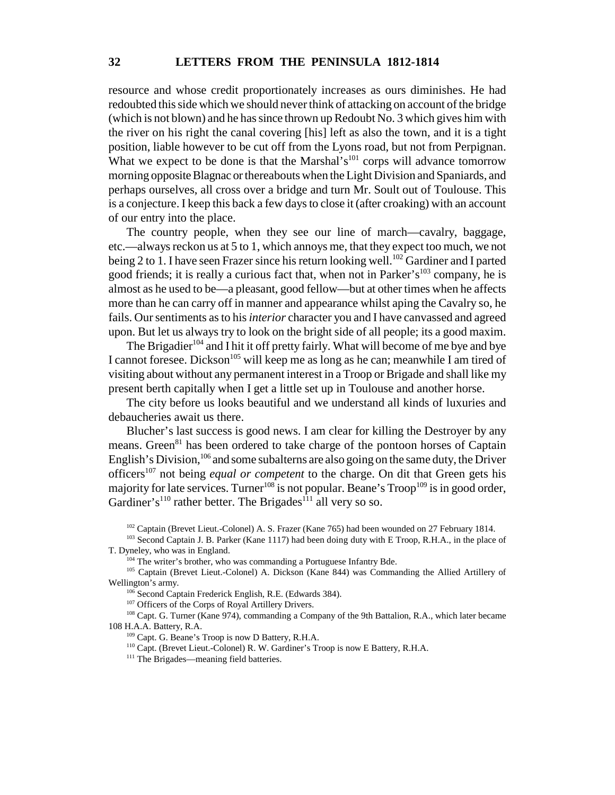resource and whose credit proportionately increases as ours diminishes. He had redoubted this side which we should never think of attacking on account of the bridge (which is not blown) and he has since thrown up Redoubt No. 3 which gives him with the river on his right the canal covering [his] left as also the town, and it is a tight position, liable however to be cut off from the Lyons road, but not from Perpignan. What we expect to be done is that the Marshal's<sup>101</sup> corps will advance tomorrow morning opposite Blagnac or thereabouts when the Light Division and Spaniards, and perhaps ourselves, all cross over a bridge and turn Mr. Soult out of Toulouse. This is a conjecture. I keep this back a few days to close it (after croaking) with an account of our entry into the place.

The country people, when they see our line of march—cavalry, baggage, etc.—always reckon us at 5 to 1, which annoys me, that they expect too much, we not being 2 to 1. I have seen Frazer since his return looking well.<sup>102</sup> Gardiner and I parted good friends; it is really a curious fact that, when not in Parker's<sup>103</sup> company, he is almost as he used to be—a pleasant, good fellow—but at other times when he affects more than he can carry off in manner and appearance whilst aping the Cavalry so, he fails. Our sentiments as to his *interior* character you and I have canvassed and agreed upon. But let us always try to look on the bright side of all people; its a good maxim.

The Brigadier<sup>104</sup> and I hit it off pretty fairly. What will become of me bye and bye I cannot foresee. Dickson<sup>105</sup> will keep me as long as he can; meanwhile I am tired of visiting about without any permanent interest in a Troop or Brigade and shall like my present berth capitally when I get a little set up in Toulouse and another horse.

The city before us looks beautiful and we understand all kinds of luxuries and debaucheries await us there.

Blucher's last success is good news. I am clear for killing the Destroyer by any means. Green<sup>81</sup> has been ordered to take charge of the pontoon horses of Captain English's Division,  $106$  and some subalterns are also going on the same duty, the Driver officers<sup>107</sup> not being *equal or competent* to the charge. On dit that Green gets his majority for late services. Turner<sup>108</sup> is not popular. Beane's  $T_{\text{roop}}^{109}$  is in good order, Gardiner's<sup>110</sup> rather better. The Brigades<sup>111</sup> all very so so.

<sup>102</sup> Captain (Brevet Lieut.-Colonel) A. S. Frazer (Kane 765) had been wounded on 27 February 1814.

<sup>103</sup> Second Captain J. B. Parker (Kane 1117) had been doing duty with E Troop, R.H.A., in the place of T. Dyneley, who was in England.

<sup>105</sup> Captain (Brevet Lieut.-Colonel) A. Dickson (Kane 844) was Commanding the Allied Artillery of Wellington's army.

106 Second Captain Frederick English, R.E. (Edwards 384).

<sup>107</sup> Officers of the Corps of Royal Artillery Drivers.

<sup>108</sup> Capt. G. Turner (Kane 974), commanding a Company of the 9th Battalion, R.A., which later became 108 H.A.A. Battery, R.A.

109 Capt. G. Beane's Troop is now D Battery, R.H.A.

110 Capt. (Brevet Lieut.-Colonel) R. W. Gardiner's Troop is now E Battery, R.H.A.

<sup>111</sup> The Brigades—meaning field batteries.

<sup>&</sup>lt;sup>104</sup> The writer's brother, who was commanding a Portuguese Infantry Bde.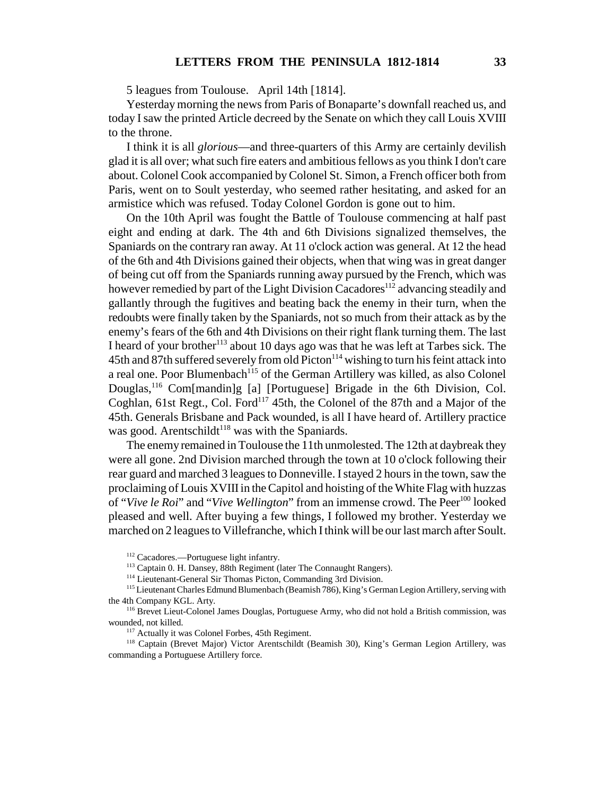5 leagues from Toulouse. April 14th [1814].

Yesterday morning the news from Paris of Bonaparte's downfall reached us, and today I saw the printed Article decreed by the Senate on which they call Louis XVIII to the throne.

I think it is all *glorious*—and three-quarters of this Army are certainly devilish glad it is all over; what such fire eaters and ambitious fellows as you think I don't care about. Colonel Cook accompanied by Colonel St. Simon, a French officer both from Paris, went on to Soult yesterday, who seemed rather hesitating, and asked for an armistice which was refused. Today Colonel Gordon is gone out to him.

On the 10th April was fought the Battle of Toulouse commencing at half past eight and ending at dark. The 4th and 6th Divisions signalized themselves, the Spaniards on the contrary ran away. At 11 o'clock action was general. At 12 the head of the 6th and 4th Divisions gained their objects, when that wing was in great danger of being cut off from the Spaniards running away pursued by the French, which was however remedied by part of the Light Division Cacadores<sup>112</sup> advancing steadily and gallantly through the fugitives and beating back the enemy in their turn, when the redoubts were finally taken by the Spaniards, not so much from their attack as by the enemy's fears of the 6th and 4th Divisions on their right flank turning them. The last I heard of your brother<sup>113</sup> about 10 days ago was that he was left at Tarbes sick. The 45th and 87th suffered severely from old Picton<sup>114</sup> wishing to turn his feint attack into a real one. Poor Blumenbach<sup>115</sup> of the German Artillery was killed, as also Colonel Douglas,<sup>116</sup> Com[mandin]g [a] [Portuguese] Brigade in the 6th Division, Col. Coghlan, 61st Regt., Col. Ford<sup>117</sup> 45th, the Colonel of the 87th and a Major of the 45th. Generals Brisbane and Pack wounded, is all I have heard of. Artillery practice was good. Arentschildt<sup>118</sup> was with the Spaniards.

The enemy remained in Toulouse the 11th unmolested. The 12th at daybreak they were all gone. 2nd Division marched through the town at 10 o'clock following their rear guard and marched 3 leagues to Donneville. I stayed 2 hours in the town, saw the proclaiming of Louis XVIII in the Capitol and hoisting of the White Flag with huzzas of "*Vive le Roi*" and "*Vive Wellington*" from an immense crowd. The Peer<sup>100</sup> looked pleased and well. After buying a few things, I followed my brother. Yesterday we marched on 2 leagues to Villefranche, which I think will be our last march after Soult.

<sup>112</sup> Cacadores.—Portuguese light infantry.

<sup>113</sup> Captain 0. H. Dansey, 88th Regiment (later The Connaught Rangers).

<sup>114</sup> Lieutenant-General Sir Thomas Picton, Commanding 3rd Division.

<sup>&</sup>lt;sup>115</sup> Lieutenant Charles Edmund Blumenbach (Beamish 786), King's German Legion Artillery, serving with the 4th Company KGL. Arty.

<sup>&</sup>lt;sup>116</sup> Brevet Lieut-Colonel James Douglas, Portuguese Army, who did not hold a British commission, was wounded, not killed.

<sup>&</sup>lt;sup>117</sup> Actually it was Colonel Forbes, 45th Regiment.

<sup>118</sup> Captain (Brevet Major) Victor Arentschildt (Beamish 30), King's German Legion Artillery, was commanding a Portuguese Artillery force.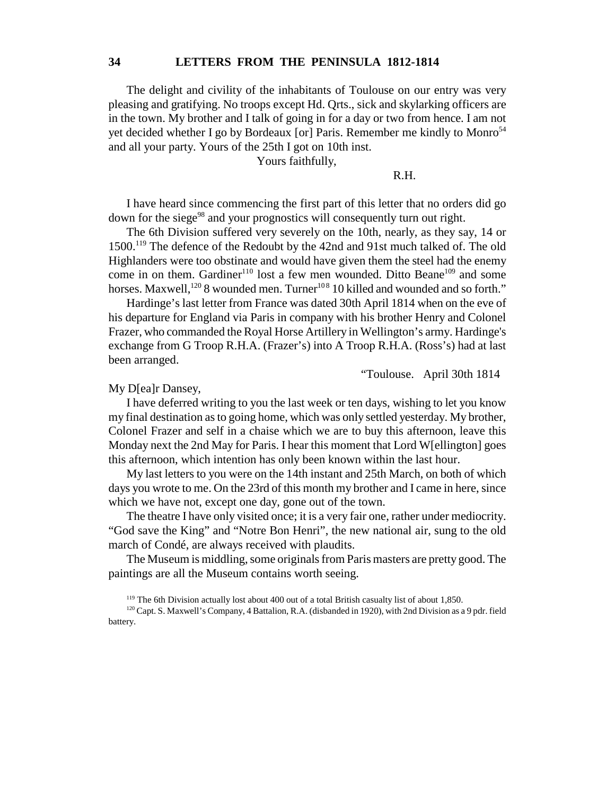### **34 LETTERS FROM THE PENINSULA 1812-1814**

The delight and civility of the inhabitants of Toulouse on our entry was very pleasing and gratifying. No troops except Hd. Qrts., sick and skylarking officers are in the town. My brother and I talk of going in for a day or two from hence. I am not yet decided whether I go by Bordeaux [or] Paris. Remember me kindly to Monro $54$ and all your party. Yours of the 25th I got on 10th inst.

Yours faithfully,

#### R.H.

I have heard since commencing the first part of this letter that no orders did go down for the siege<sup>98</sup> and your prognostics will consequently turn out right.

The 6th Division suffered very severely on the 10th, nearly, as they say, 14 or 1500.119 The defence of the Redoubt by the 42nd and 91st much talked of. The old Highlanders were too obstinate and would have given them the steel had the enemy come in on them. Gardiner<sup>110</sup> lost a few men wounded. Ditto Beane<sup>109</sup> and some horses. Maxwell,<sup>120</sup> 8 wounded men. Turner<sup>108</sup> 10 killed and wounded and so forth."

Hardinge's last letter from France was dated 30th April 1814 when on the eve of his departure for England via Paris in company with his brother Henry and Colonel Frazer, who commanded the Royal Horse Artillery in Wellington's army. Hardinge's exchange from G Troop R.H.A. (Frazer's) into A Troop R.H.A. (Ross's) had at last been arranged.

"Toulouse. April 30th 1814

My D[ea]r Dansey,

I have deferred writing to you the last week or ten days, wishing to let you know my final destination as to going home, which was only settled yesterday. My brother, Colonel Frazer and self in a chaise which we are to buy this afternoon, leave this Monday next the 2nd May for Paris. I hear this moment that Lord W[ellington] goes this afternoon, which intention has only been known within the last hour.

My last letters to you were on the 14th instant and 25th March, on both of which days you wrote to me. On the 23rd of this month my brother and I came in here, since which we have not, except one day, gone out of the town.

The theatre I have only visited once; it is a very fair one, rather under mediocrity. "God save the King" and "Notre Bon Henri", the new national air, sung to the old march of Condé, are always received with plaudits.

The Museum is middling, some originals from Paris masters are pretty good. The paintings are all the Museum contains worth seeing.

<sup>&</sup>lt;sup>119</sup> The 6th Division actually lost about 400 out of a total British casualty list of about 1,850.

<sup>&</sup>lt;sup>120</sup> Capt. S. Maxwell's Company, 4 Battalion, R.A. (disbanded in 1920), with 2nd Division as a 9 pdr. field battery.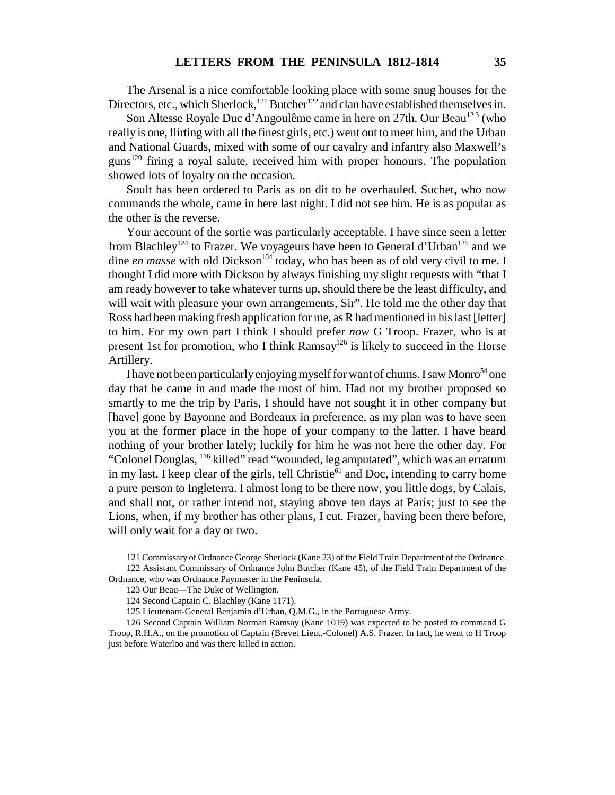The Arsenal is a nice comfortable looking place with some snug houses for the Directors, etc., which Sherlock,<sup>121</sup> Butcher<sup>122</sup> and clan have established themselves in.

Son Altesse Royale Duc d'Angoulême came in here on 27th. Our Beau<sup>123</sup> (who really is one, flirting with all the finest girls, etc.) went out to meet him, and the Urban and National Guards, mixed with some of our cavalry and infantry also Maxwell's guns<sup>120</sup> firing a royal salute, received him with proper honours. The population showed lots of loyalty on the occasion.

Soult has been ordered to Paris as on dit to be overhauled. Suchet, who now commands the whole, came in here last night. I did not see him. He is as popular as the other is the reverse.

Your account of the sortie was particularly acceptable. I have since seen a letter from Blachley<sup>124</sup> to Frazer. We voyageurs have been to General d'Urban<sup>125</sup> and we dine *en masse* with old Dickson<sup>104</sup> today, who has been as of old very civil to me. I thought I did more with Dickson by always finishing my slight requests with "that I am ready however to take whatever turns up, should there be the least difficulty, and will wait with pleasure your own arrangements, Sir". He told me the other day that Ross had been making fresh application for me, as R had mentioned in his last [letter] to him. For my own part I think I should prefer *now* G Troop. Frazer, who is at present 1st for promotion, who I think Ramsay<sup>126</sup> is likely to succeed in the Horse Artillery.

I have not been particularly enjoying myself for want of chums. I saw Monro<sup>54</sup> one day that he came in and made the most of him. Had not my brother proposed so smartly to me the trip by Paris, I should have not sought it in other company but [have] gone by Bayonne and Bordeaux in preference, as my plan was to have seen you at the former place in the hope of your company to the latter. I have heard nothing of your brother lately; luckily for him he was not here the other day. For "Colonel Douglas, 116 killed" read "wounded, leg amputated", which was an erratum in my last. I keep clear of the girls, tell Christie<sup>61</sup> and Doc, intending to carry home a pure person to Ingleterra. I almost long to be there now, you little dogs, by Calais, and shall not, or rather intend not, staying above ten days at Paris; just to see the Lions, when, if my brother has other plans, I cut. Frazer, having been there before, will only wait for a day or two.

121 Commissary of Ordnance George Sherlock (Kane 23) of the Field Train Department of the Ordnance. 122 Assistant Commissary of Ordnance John Butcher (Kane 45), of the Field Train Department of the Ordnance, who was Ordnance Paymaster in the Peninsula.

126 Second Captain William Norman Ramsay (Kane 1019) was expected to be posted to command G Troop, R.H.A., on the promotion of Captain (Brevet Lieut.-Colonel) A.S. Frazer. In fact, he went to H Troop just before Waterloo and was there killed in action.

<sup>123</sup> Our Beau—The Duke of Wellington.

<sup>124</sup> Second Captain C. Blachley (Kane 1171).

<sup>125</sup> Lieutenant-General Benjamin d'Urban, Q.M.G., in the Portuguese Army.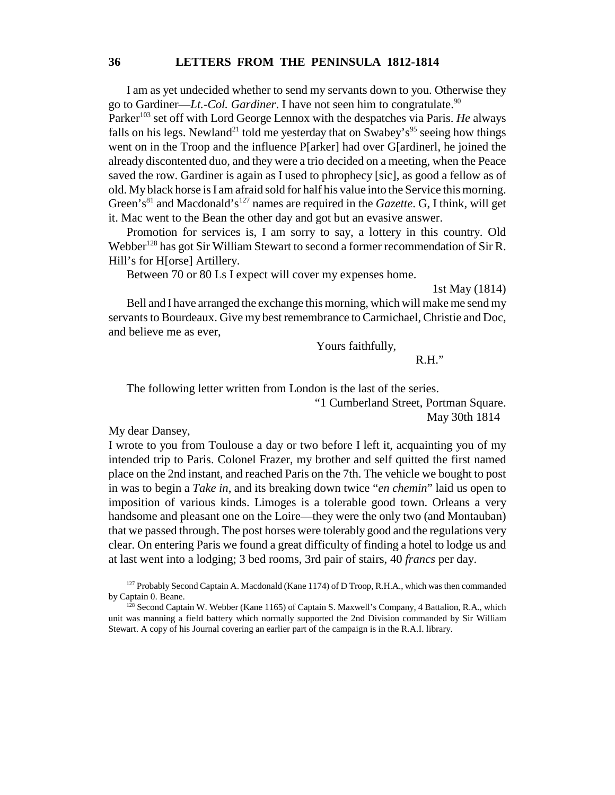I am as yet undecided whether to send my servants down to you. Otherwise they go to Gardiner—*Lt.-Col. Gardiner*. I have not seen him to congratulate.<sup>90</sup>

Parker<sup>103</sup> set off with Lord George Lennox with the despatches via Paris. *He* always falls on his legs. Newland<sup>21</sup> told me yesterday that on Swabey's<sup>95</sup> seeing how things went on in the Troop and the influence P[arker] had over G[ardinerl, he joined the already discontented duo, and they were a trio decided on a meeting, when the Peace saved the row. Gardiner is again as I used to phrophecy [sic], as good a fellow as of old. My black horse is I am afraid sold for half his value into the Service this morning. Green's<sup>81</sup> and Macdonald's<sup>127</sup> names are required in the *Gazette*. G, I think, will get it. Mac went to the Bean the other day and got but an evasive answer.

Promotion for services is, I am sorry to say, a lottery in this country. Old Webber<sup>128</sup> has got Sir William Stewart to second a former recommendation of Sir R. Hill's for H[orse] Artillery.

Between 70 or 80 Ls I expect will cover my expenses home.

1st May (1814)

Bell and I have arranged the exchange this morning, which will make me send my servants to Bourdeaux. Give my best remembrance to Carmichael, Christie and Doc, and believe me as ever,

Yours faithfully,

R.H."

The following letter written from London is the last of the series.

"1 Cumberland Street, Portman Square.

May 30th 1814

My dear Dansey,

I wrote to you from Toulouse a day or two before I left it, acquainting you of my intended trip to Paris. Colonel Frazer, my brother and self quitted the first named place on the 2nd instant, and reached Paris on the 7th. The vehicle we bought to post in was to begin a *Take in*, and its breaking down twice "*en chemin*" laid us open to imposition of various kinds. Limoges is a tolerable good town. Orleans a very handsome and pleasant one on the Loire—they were the only two (and Montauban) that we passed through. The post horses were tolerably good and the regulations very clear. On entering Paris we found a great difficulty of finding a hotel to lodge us and at last went into a lodging; 3 bed rooms, 3rd pair of stairs, 40 *francs* per day.

<sup>127</sup> Probably Second Captain A. Macdonald (Kane 1174) of D Troop, R.H.A., which was then commanded by Captain 0. Beane.

<sup>&</sup>lt;sup>128</sup> Second Captain W. Webber (Kane 1165) of Captain S. Maxwell's Company, 4 Battalion, R.A., which unit was manning a field battery which normally supported the 2nd Division commanded by Sir William Stewart. A copy of his Journal covering an earlier part of the campaign is in the R.A.I. library.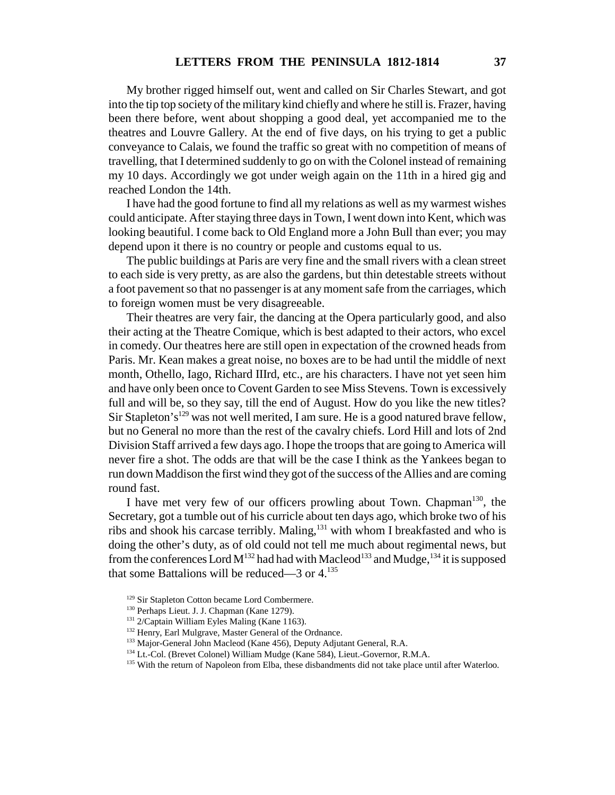My brother rigged himself out, went and called on Sir Charles Stewart, and got into the tip top society of the military kind chiefly and where he still is. Frazer, having been there before, went about shopping a good deal, yet accompanied me to the theatres and Louvre Gallery. At the end of five days, on his trying to get a public conveyance to Calais, we found the traffic so great with no competition of means of travelling, that I determined suddenly to go on with the Colonel instead of remaining my 10 days. Accordingly we got under weigh again on the 11th in a hired gig and reached London the 14th.

I have had the good fortune to find all my relations as well as my warmest wishes could anticipate. After staying three days in Town, I went down into Kent, which was looking beautiful. I come back to Old England more a John Bull than ever; you may depend upon it there is no country or people and customs equal to us.

The public buildings at Paris are very fine and the small rivers with a clean street to each side is very pretty, as are also the gardens, but thin detestable streets without a foot pavement so that no passenger is at any moment safe from the carriages, which to foreign women must be very disagreeable.

Their theatres are very fair, the dancing at the Opera particularly good, and also their acting at the Theatre Comique, which is best adapted to their actors, who excel in comedy. Our theatres here are still open in expectation of the crowned heads from Paris. Mr. Kean makes a great noise, no boxes are to be had until the middle of next month, Othello, Iago, Richard IIIrd, etc., are his characters. I have not yet seen him and have only been once to Covent Garden to see Miss Stevens. Town is excessively full and will be, so they say, till the end of August. How do you like the new titles? Sir Stapleton's<sup>129</sup> was not well merited, I am sure. He is a good natured brave fellow, but no General no more than the rest of the cavalry chiefs. Lord Hill and lots of 2nd Division Staff arrived a few days ago. I hope the troops that are going to America will never fire a shot. The odds are that will be the case I think as the Yankees began to run down Maddison the first wind they got of the success of the Allies and are coming round fast.

I have met very few of our officers prowling about Town. Chapman<sup>130</sup>, the Secretary, got a tumble out of his curricle about ten days ago, which broke two of his ribs and shook his carcase terribly. Maling,<sup>131</sup> with whom I breakfasted and who is doing the other's duty, as of old could not tell me much about regimental news, but from the conferences Lord  $M^{132}$  had had with Macleod<sup>133</sup> and Mudge,<sup>134</sup> it is supposed that some Battalions will be reduced—3 or 4.<sup>135</sup>

<sup>&</sup>lt;sup>129</sup> Sir Stapleton Cotton became Lord Combermere.

<sup>130</sup> Perhaps Lieut. J. J. Chapman (Kane 1279).

<sup>&</sup>lt;sup>131</sup> 2/Captain William Eyles Maling (Kane 1163).

<sup>&</sup>lt;sup>132</sup> Henry, Earl Mulgrave, Master General of the Ordnance.

<sup>&</sup>lt;sup>133</sup> Major-General John Macleod (Kane 456), Deputy Adjutant General, R.A.

<sup>&</sup>lt;sup>134</sup> Lt.-Col. (Brevet Colonel) William Mudge (Kane 584), Lieut.-Governor, R.M.A.

<sup>&</sup>lt;sup>135</sup> With the return of Napoleon from Elba, these disbandments did not take place until after Waterloo.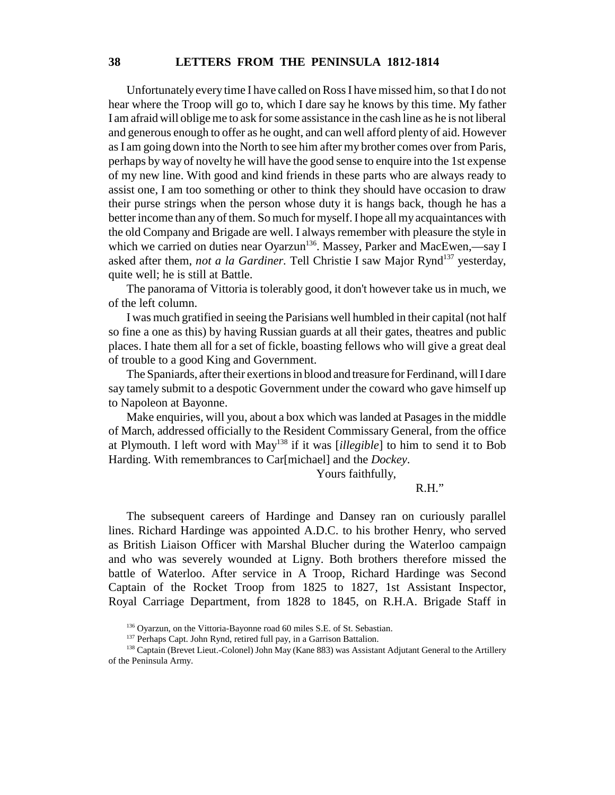### **38 LETTERS FROM THE PENINSULA 1812-1814**

Unfortunately every time I have called on Ross I have missed him, so that I do not hear where the Troop will go to, which I dare say he knows by this time. My father I am afraid will oblige me to ask for some assistance in the cash line as he is not liberal and generous enough to offer as he ought, and can well afford plenty of aid. However as I am going down into the North to see him after my brother comes over from Paris, perhaps by way of novelty he will have the good sense to enquire into the 1st expense of my new line. With good and kind friends in these parts who are always ready to assist one, I am too something or other to think they should have occasion to draw their purse strings when the person whose duty it is hangs back, though he has a better income than any of them. So much for myself. I hope all my acquaintances with the old Company and Brigade are well. I always remember with pleasure the style in which we carried on duties near Oyarzun<sup>136</sup>. Massey, Parker and MacEwen,—say I asked after them, *not a la Gardiner*. Tell Christie I saw Major Rynd<sup>137</sup> yesterday, quite well; he is still at Battle.

The panorama of Vittoria is tolerably good, it don't however take us in much, we of the left column.

I was much gratified in seeing the Parisians well humbled in their capital (not half so fine a one as this) by having Russian guards at all their gates, theatres and public places. I hate them all for a set of fickle, boasting fellows who will give a great deal of trouble to a good King and Government.

The Spaniards, after their exertions in blood and treasure for Ferdinand, will I dare say tamely submit to a despotic Government under the coward who gave himself up to Napoleon at Bayonne.

Make enquiries, will you, about a box which was landed at Pasages in the middle of March, addressed officially to the Resident Commissary General, from the office at Plymouth. I left word with May138 if it was [*illegible*] to him to send it to Bob Harding. With remembrances to Car[michael] and the *Dockey*.

Yours faithfully,

### R.H."

The subsequent careers of Hardinge and Dansey ran on curiously parallel lines. Richard Hardinge was appointed A.D.C. to his brother Henry, who served as British Liaison Officer with Marshal Blucher during the Waterloo campaign and who was severely wounded at Ligny. Both brothers therefore missed the battle of Waterloo. After service in A Troop, Richard Hardinge was Second Captain of the Rocket Troop from 1825 to 1827, 1st Assistant Inspector, Royal Carriage Department, from 1828 to 1845, on R.H.A. Brigade Staff in

<sup>136</sup> Oyarzun, on the Vittoria-Bayonne road 60 miles S.E. of St. Sebastian.

<sup>&</sup>lt;sup>137</sup> Perhaps Capt. John Rynd, retired full pay, in a Garrison Battalion.

<sup>&</sup>lt;sup>138</sup> Captain (Brevet Lieut.-Colonel) John May (Kane 883) was Assistant Adjutant General to the Artillery of the Peninsula Army.